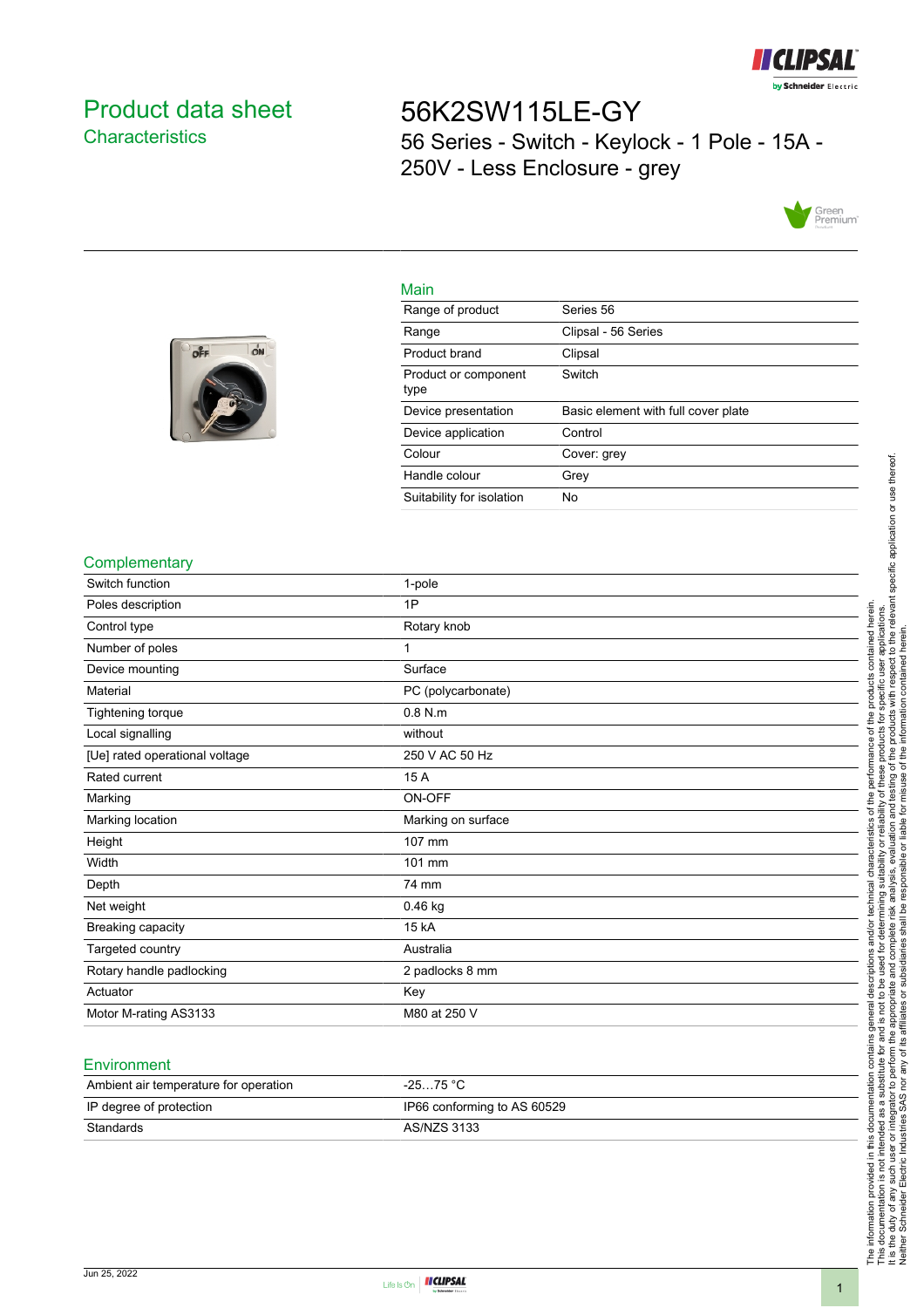

## <span id="page-0-0"></span>Product data sheet **Characteristics**

off

ON

# 56K2SW115LE-GY 56 Series - Switch - Keylock - 1 Pole - 15A - 250V - Less Enclosure - grey



#### Main

| Range of product             | Series 56                           |
|------------------------------|-------------------------------------|
| Range                        | Clipsal - 56 Series                 |
| Product brand                | Clipsal                             |
| Product or component<br>type | Switch                              |
| Device presentation          | Basic element with full cover plate |
| Device application           | Control                             |
| Colour                       | Cover: grey                         |
| Handle colour                | Grey                                |
| Suitability for isolation    | No                                  |



| <b>Complementary</b>           |                    |
|--------------------------------|--------------------|
| Switch function                | 1-pole             |
| Poles description              | 1P                 |
| Control type                   | Rotary knob        |
| Number of poles                | 1                  |
| Device mounting                | Surface            |
| Material                       | PC (polycarbonate) |
| Tightening torque              | $0.8$ N.m          |
| Local signalling               | without            |
| [Ue] rated operational voltage | 250 V AC 50 Hz     |
| Rated current                  | 15 A               |
| Marking                        | ON-OFF             |
| Marking location               | Marking on surface |
| Height                         | 107 mm             |
| Width                          | 101 mm             |
| Depth                          | 74 mm              |
| Net weight                     | $0.46$ kg          |
| Breaking capacity              | 15 kA              |
| Targeted country               | Australia          |
| Rotary handle padlocking       | 2 padlocks 8 mm    |
| Actuator                       | Key                |
|                                | M80 at 250 V       |

### Ambient air temperature for operation -25...75 °C IP degree of protection **IP66** conforming to AS 60529 **Standards** AS/NZS 3133